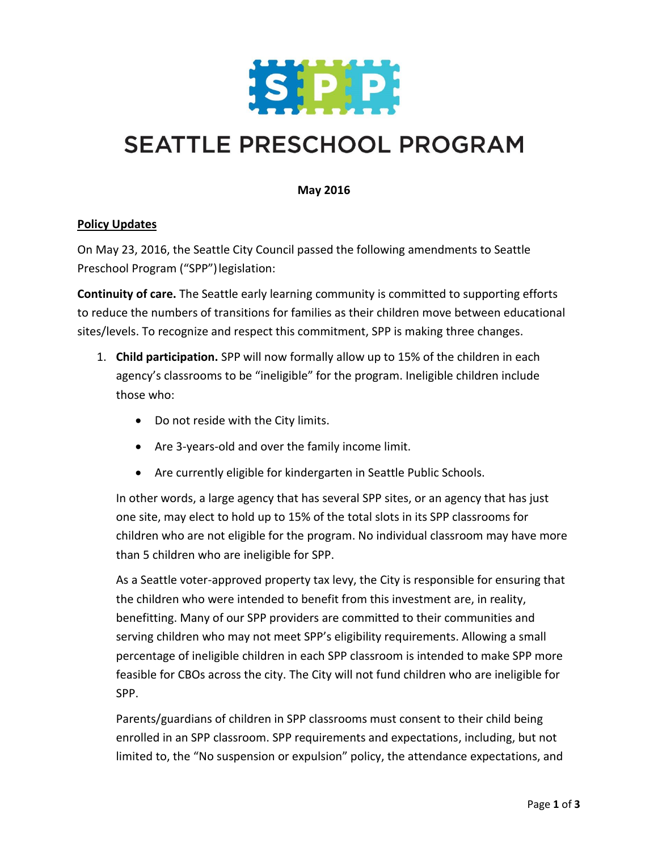

## **SEATTLE PRESCHOOL PROGRAM**

## **May 2016**

## **Policy Updates**

On May 23, 2016, the Seattle City Council passed the following amendments to Seattle Preschool Program ("SPP")legislation:

**Continuity of care.** The Seattle early learning community is committed to supporting efforts to reduce the numbers of transitions for families as their children move between educational sites/levels. To recognize and respect this commitment, SPP is making three changes.

- 1. **Child participation.** SPP will now formally allow up to 15% of the children in each agency's classrooms to be "ineligible" for the program. Ineligible children include those who:
	- Do not reside with the City limits.
	- Are 3-years-old and over the family income limit.
	- Are currently eligible for kindergarten in Seattle Public Schools.

In other words, a large agency that has several SPP sites, or an agency that has just one site, may elect to hold up to 15% of the total slots in its SPP classrooms for children who are not eligible for the program. No individual classroom may have more than 5 children who are ineligible for SPP.

As a Seattle voter-approved property tax levy, the City is responsible for ensuring that the children who were intended to benefit from this investment are, in reality, benefitting. Many of our SPP providers are committed to their communities and serving children who may not meet SPP's eligibility requirements. Allowing a small percentage of ineligible children in each SPP classroom is intended to make SPP more feasible for CBOs across the city. The City will not fund children who are ineligible for SPP.

Parents/guardians of children in SPP classrooms must consent to their child being enrolled in an SPP classroom. SPP requirements and expectations, including, but not limited to, the "No suspension or expulsion" policy, the attendance expectations, and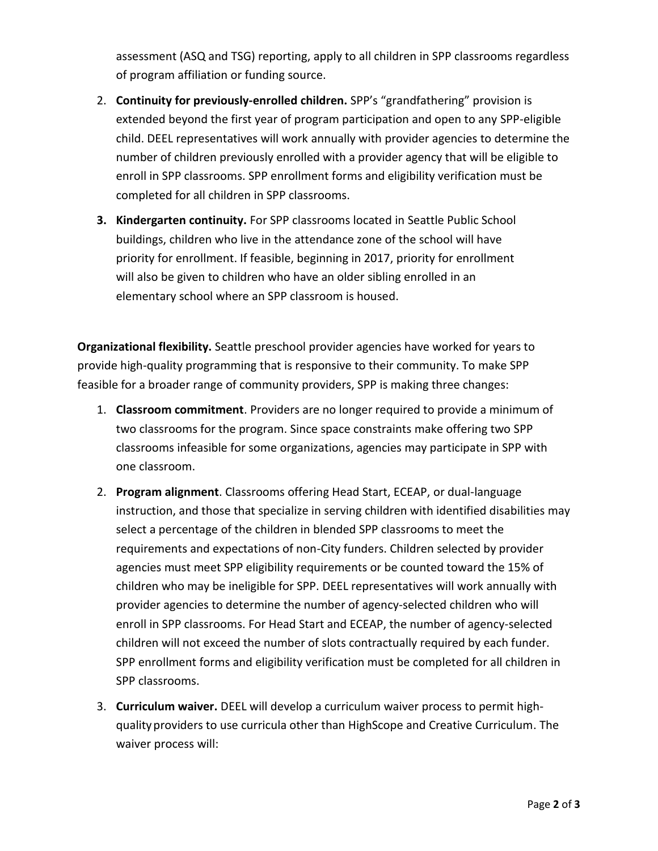assessment (ASQ and TSG) reporting, apply to all children in SPP classrooms regardless of program affiliation or funding source.

- 2. **Continuity for previously-enrolled children.** SPP's "grandfathering" provision is extended beyond the first year of program participation and open to any SPP-eligible child. DEEL representatives will work annually with provider agencies to determine the number of children previously enrolled with a provider agency that will be eligible to enroll in SPP classrooms. SPP enrollment forms and eligibility verification must be completed for all children in SPP classrooms.
- **3. Kindergarten continuity.** For SPP classrooms located in Seattle Public School buildings, children who live in the attendance zone of the school will have priority for enrollment. If feasible, beginning in 2017, priority for enrollment will also be given to children who have an older sibling enrolled in an elementary school where an SPP classroom is housed.

**Organizational flexibility.** Seattle preschool provider agencies have worked for years to provide high-quality programming that is responsive to their community. To make SPP feasible for a broader range of community providers, SPP is making three changes:

- 1. **Classroom commitment**. Providers are no longer required to provide a minimum of two classrooms for the program. Since space constraints make offering two SPP classrooms infeasible for some organizations, agencies may participate in SPP with one classroom.
- 2. **Program alignment**. Classrooms offering Head Start, ECEAP, or dual-language instruction, and those that specialize in serving children with identified disabilities may select a percentage of the children in blended SPP classrooms to meet the requirements and expectations of non-City funders. Children selected by provider agencies must meet SPP eligibility requirements or be counted toward the 15% of children who may be ineligible for SPP. DEEL representatives will work annually with provider agencies to determine the number of agency-selected children who will enroll in SPP classrooms. For Head Start and ECEAP, the number of agency-selected children will not exceed the number of slots contractually required by each funder. SPP enrollment forms and eligibility verification must be completed for all children in SPP classrooms.
- 3. **Curriculum waiver.** DEEL will develop a curriculum waiver process to permit highqualityproviders to use curricula other than HighScope and Creative Curriculum. The waiver process will: